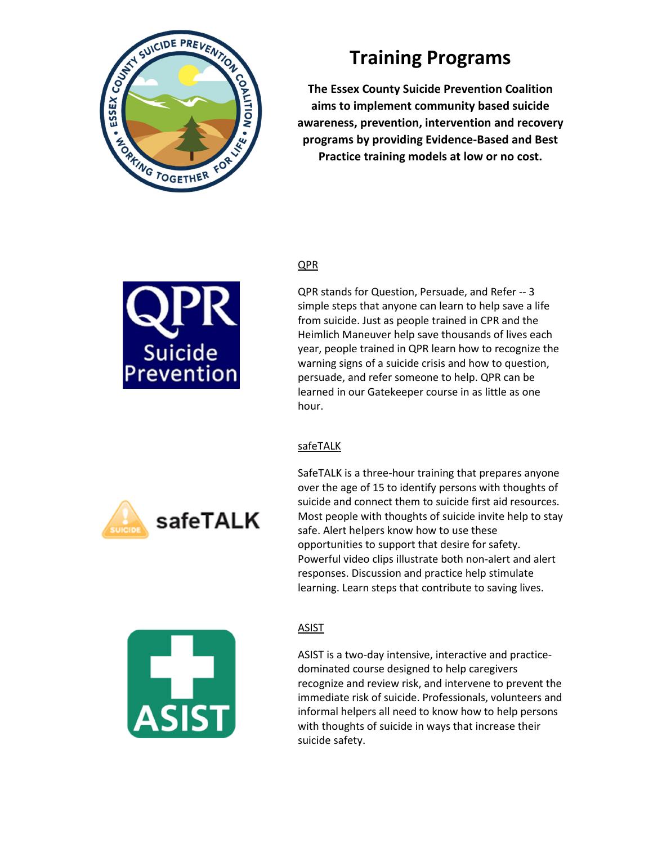

# **Training Programs**

**The Essex County Suicide Prevention Coalition aims to implement community based suicide awareness, prevention, intervention and recovery programs by providing Evidence-Based and Best Practice training models at low or no cost.** 

## QPR



QPR stands for Question, Persuade, and Refer -- 3 simple steps that anyone can learn to help save a life from suicide. Just as people trained in CPR and the Heimlich Maneuver help save thousands of lives each year, people trained in QPR learn how to recognize the warning signs of a suicide crisis and how to question, persuade, and refer someone to help. QPR can be learned in our Gatekeeper course in as little as one hour.

### safeTALK





safeTALK

### **ASIST**

ASIST is a two-day intensive, interactive and practicedominated course designed to help caregivers recognize and review risk, and intervene to prevent the immediate risk of suicide. Professionals, volunteers and informal helpers all need to know how to help persons with thoughts of suicide in ways that increase their suicide safety.